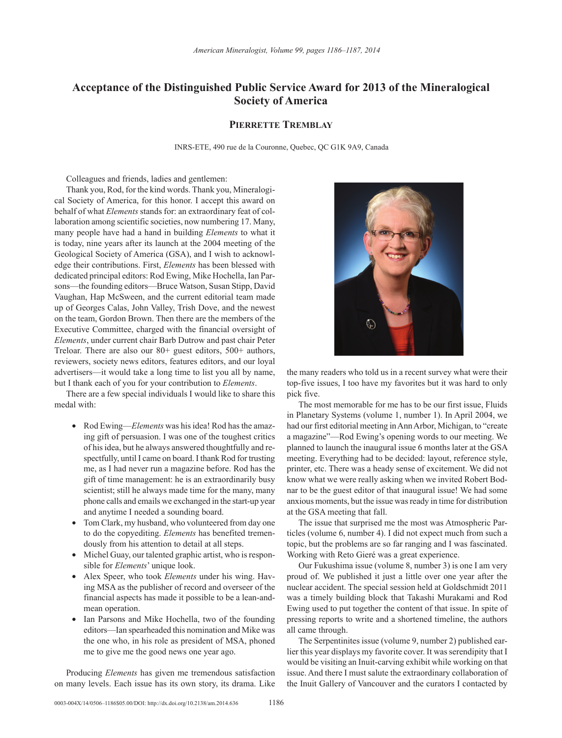## **Acceptance of the Distinguished Public Service Award for 2013 of the Mineralogical Society of America**

## **Pierrette Tremblay**

INRS-ETE, 490 rue de la Couronne, Quebec, QC G1K 9A9, Canada

Colleagues and friends, ladies and gentlemen:

Thank you, Rod, for the kind words. Thank you, Mineralogical Society of America, for this honor. I accept this award on behalf of what *Elements* stands for: an extraordinary feat of collaboration among scientific societies, now numbering 17. Many, many people have had a hand in building *Elements* to what it is today, nine years after its launch at the 2004 meeting of the Geological Society of America (GSA), and I wish to acknowledge their contributions. First, *Elements* has been blessed with dedicated principal editors: Rod Ewing, Mike Hochella, Ian Parsons—the founding editors—Bruce Watson, Susan Stipp, David Vaughan, Hap McSween, and the current editorial team made up of Georges Calas, John Valley, Trish Dove, and the newest on the team, Gordon Brown. Then there are the members of the Executive Committee, charged with the financial oversight of *Elements*, under current chair Barb Dutrow and past chair Peter Treloar. There are also our 80+ guest editors, 500+ authors, reviewers, society news editors, features editors, and our loyal advertisers—it would take a long time to list you all by name, but I thank each of you for your contribution to *Elements*.

There are a few special individuals I would like to share this medal with:

- Rod Ewing—*Elements* was his idea! Rod has the amazing gift of persuasion. I was one of the toughest critics of his idea, but he always answered thoughtfully and respectfully, until I came on board. I thank Rod for trusting me, as I had never run a magazine before. Rod has the gift of time management: he is an extraordinarily busy scientist; still he always made time for the many, many phone calls and emails we exchanged in the start-up year and anytime I needed a sounding board.
- Tom Clark, my husband, who volunteered from day one to do the copyediting. *Elements* has benefited tremendously from his attention to detail at all steps.
- Michel Guay, our talented graphic artist, who is responsible for *Elements*' unique look.
- Alex Speer, who took *Elements* under his wing. Having MSA as the publisher of record and overseer of the financial aspects has made it possible to be a lean-andmean operation.
- Ian Parsons and Mike Hochella, two of the founding editors—Ian spearheaded this nomination and Mike was the one who, in his role as president of MSA, phoned me to give me the good news one year ago.

Producing *Elements* has given me tremendous satisfaction on many levels. Each issue has its own story, its drama. Like



the many readers who told us in a recent survey what were their top-five issues, I too have my favorites but it was hard to only pick five.

The most memorable for me has to be our first issue, Fluids in Planetary Systems (volume 1, number 1). In April 2004, we had our first editorial meeting in Ann Arbor, Michigan, to "create a magazine"—Rod Ewing's opening words to our meeting. We planned to launch the inaugural issue 6 months later at the GSA meeting. Everything had to be decided: layout, reference style, printer, etc. There was a heady sense of excitement. We did not know what we were really asking when we invited Robert Bodnar to be the guest editor of that inaugural issue! We had some anxious moments, but the issue was ready in time for distribution at the GSA meeting that fall.

The issue that surprised me the most was Atmospheric Particles (volume 6, number 4). I did not expect much from such a topic, but the problems are so far ranging and I was fascinated. Working with Reto Gieré was a great experience.

Our Fukushima issue (volume 8, number 3) is one I am very proud of. We published it just a little over one year after the nuclear accident. The special session held at Goldschmidt 2011 was a timely building block that Takashi Murakami and Rod Ewing used to put together the content of that issue. In spite of pressing reports to write and a shortened timeline, the authors all came through.

The Serpentinites issue (volume 9, number 2) published earlier this year displays my favorite cover. It was serendipity that I would be visiting an Inuit-carving exhibit while working on that issue. And there I must salute the extraordinary collaboration of the Inuit Gallery of Vancouver and the curators I contacted by